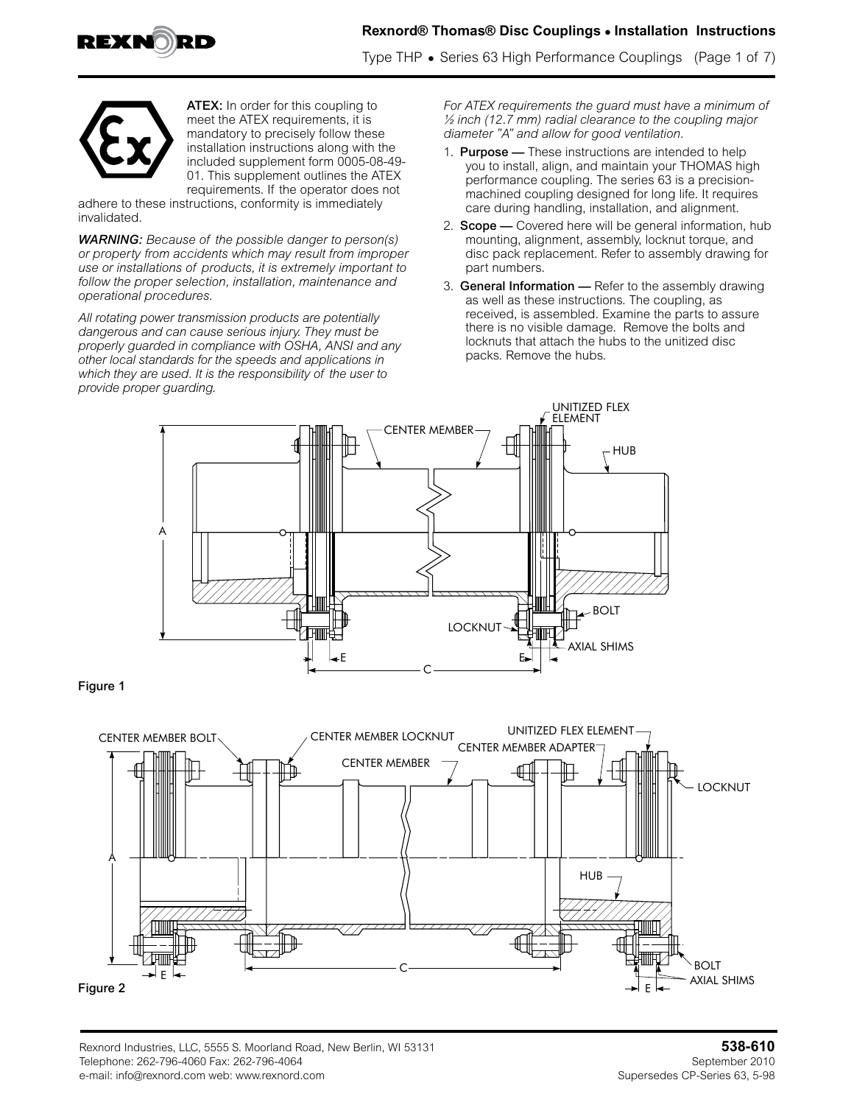

# **Rexnord® Thomas® Disc Couplings • Installation Instructions**

Type THP **•** Series 63 High Performance Couplings (Page 1 of 7)



ATEX: In order for this coupling to meet the ATEX requirements, it is mandatory to precisely follow these installation instructions along with the included supplement form 0005-08-49- 01. This supplement outlines the ATEX requirements. If the operator does not

adhere to these instructions, conformity is immediately invalidated.

*WARNING: Because of the possible danger to person(s) or property from accidents which may result from improper use or installations of products, it is extremely important to follow the proper selection, installation, maintenance and operational procedures.* 

*All rotating power transmission products are potentially dangerous and can cause serious injury. They must be properly guarded in compliance with OSHA, ANSI and any other local standards for the speeds and applications in which they are used. It is the responsibility of the user to provide proper guarding.*

*For ATEX requirements the guard must have a minimum of ½ inch (12.7 mm) radial clearance to the coupling major diameter "A" and allow for good ventilation.*

- 1. **Purpose** These instructions are intended to help you to install, align, and maintain your THOMAS high performance coupling. The series 63 is a precisionmachined coupling designed for long life. It requires care during handling, installation, and alignment.
- 2. **Scope** Covered here will be general information, hub mounting, alignment, assembly, locknut torque, and disc pack replacement. Refer to assembly drawing for part numbers.
- 3. General Information Refer to the assembly drawing as well as these instructions. The coupling, as received, is assembled. Examine the parts to assure there is no visible damage. Remove the bolts and locknuts that attach the hubs to the unitized disc packs. Remove the hubs.



Figure 1

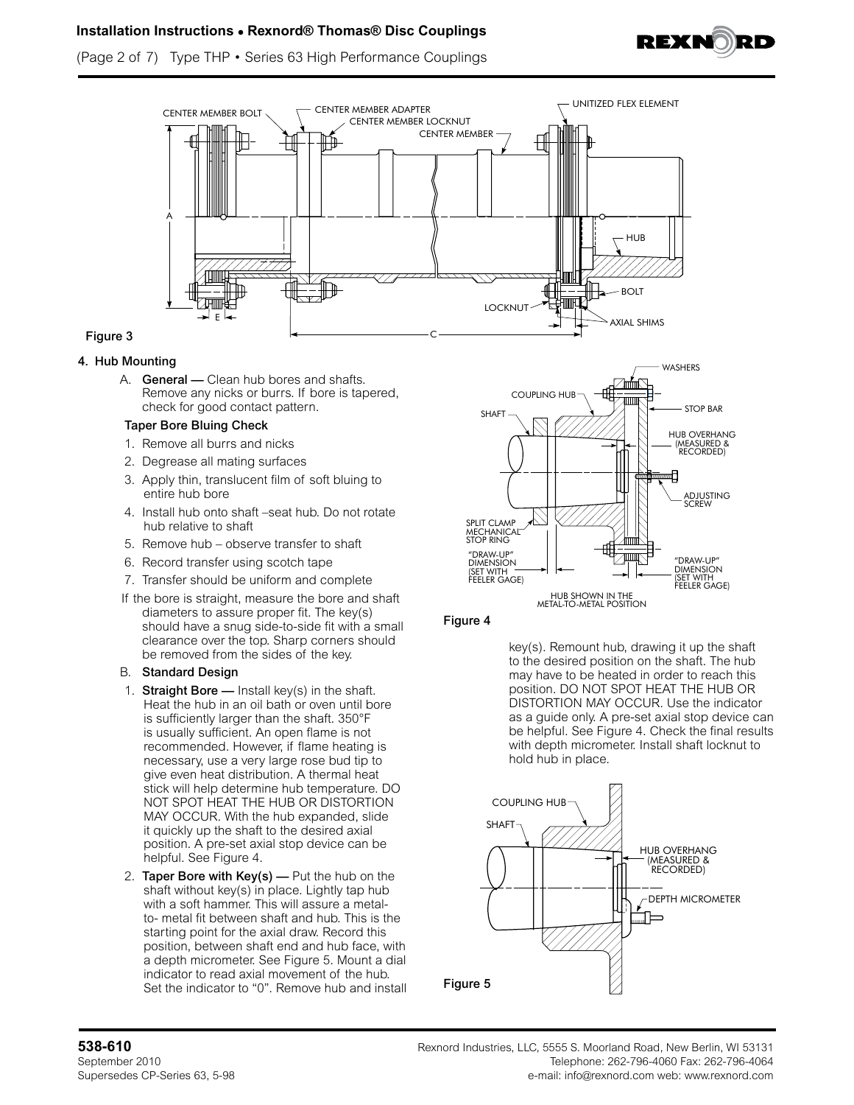

(Page 2 of 7) Type THP • Series 63 High Performance Couplings



# Figure 3

### 4. Hub Mounting

A. **General** — Clean hub bores and shafts. Remove any nicks or burrs. If bore is tapered, check for good contact pattern.

#### Taper Bore Bluing Check

- 1. Remove all burrs and nicks
- 2. Degrease all mating surfaces
- 3. Apply thin, translucent film of soft bluing to entire hub bore
- 4. Install hub onto shaft –seat hub. Do not rotate hub relative to shaft
- 5. Remove hub observe transfer to shaft
- 6. Record transfer using scotch tape
- 7. Transfer should be uniform and complete
- If the bore is straight, measure the bore and shaft diameters to assure proper fit. The key(s) should have a snug side-to-side fit with a small clearance over the top. Sharp corners should be removed from the sides of the key.

#### B. Standard Design

- 1. Straight Bore  $-$  Install key(s) in the shaft. Heat the hub in an oil bath or oven until bore is sufficiently larger than the shaft. 350°F is usually sufficient. An open flame is not recommended. However, if flame heating is necessary, use a very large rose bud tip to give even heat distribution. A thermal heat stick will help determine hub temperature. DO NOT SPOT HEAT THE HUB OR DISTORTION MAY OCCUR. With the hub expanded, slide it quickly up the shaft to the desired axial position. A pre-set axial stop device can be helpful. See Figure 4.
- 2. Taper Bore with  $Key(s)$  Put the hub on the shaft without key(s) in place. Lightly tap hub with a soft hammer. This will assure a metalto- metal fit between shaft and hub. This is the starting point for the axial draw. Record this position, between shaft end and hub face, with a depth micrometer. See Figure 5. Mount a dial indicator to read axial movement of the hub. Set the indicator to "0". Remove hub and install



# Figure 4

key(s). Remount hub, drawing it up the shaft to the desired position on the shaft. The hub may have to be heated in order to reach this position. DO NOT SPOT HEAT THE HUB OR DISTORTION MAY OCCUR. Use the indicator as a guide only. A pre-set axial stop device can be helpful. See Figure 4. Check the final results with depth micrometer. Install shaft locknut to hold hub in place.

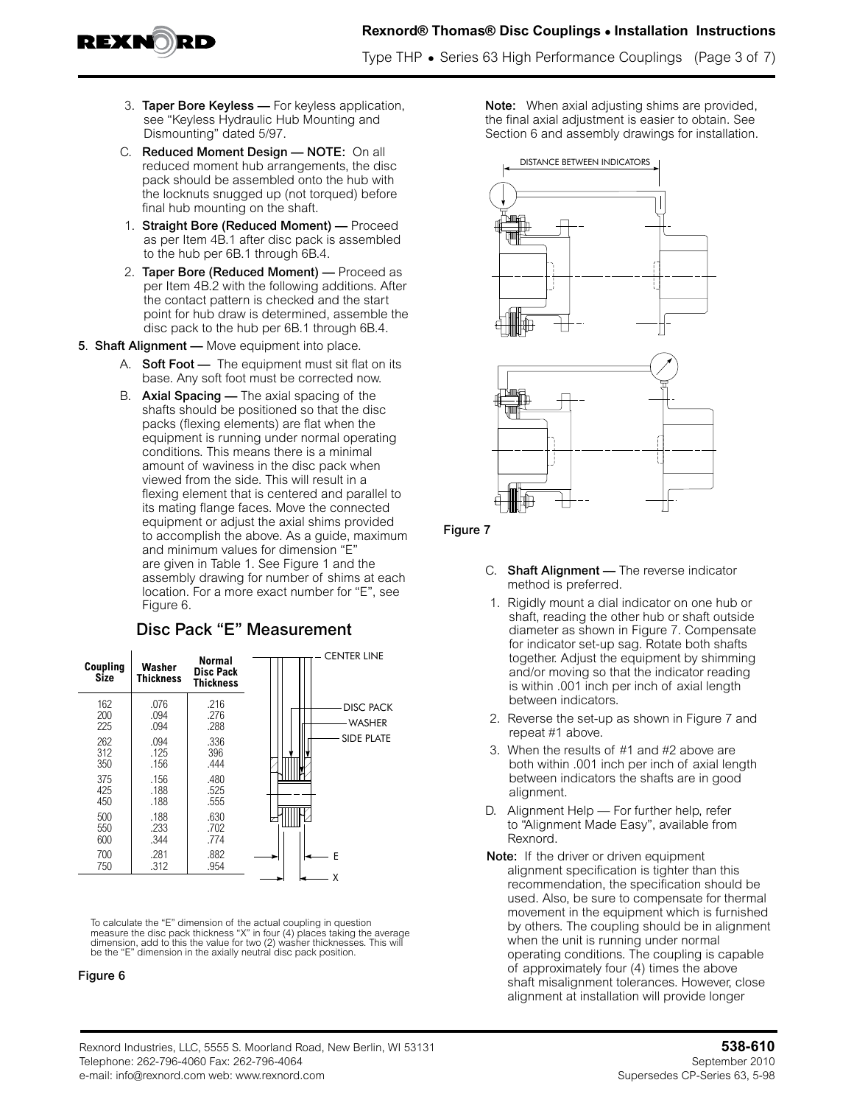

Type THP **•** Series 63 High Performance Couplings (Page 3 of 7)

- 3. Taper Bore Keyless For keyless application, see "Keyless Hydraulic Hub Mounting and Dismounting" dated 5/97.
- C. Reduced Moment Design NOTE: On all reduced moment hub arrangements, the disc pack should be assembled onto the hub with the locknuts snugged up (not torqued) before final hub mounting on the shaft.
- 1. Straight Bore (Reduced Moment) Proceed as per Item 4B.1 after disc pack is assembled to the hub per 6B.1 through 6B.4.
- 2. Taper Bore (Reduced Moment) Proceed as per Item 4B.2 with the following additions. After the contact pattern is checked and the start point for hub draw is determined, assemble the disc pack to the hub per 6B.1 through 6B.4.
- 5. Shaft Alignment Move equipment into place.
	- A. **Soft Foot —** The equipment must sit flat on its base. Any soft foot must be corrected now.
	- B. Axial Spacing The axial spacing of the shafts should be positioned so that the disc packs (flexing elements) are flat when the equipment is running under normal operating conditions. This means there is a minimal amount of waviness in the disc pack when viewed from the side. This will result in a flexing element that is centered and parallel to its mating flange faces. Move the connected equipment or adjust the axial shims provided to accomplish the above. As a guide, maximum and minimum values for dimension "E" are given in Table 1. See Figure 1 and the assembly drawing for number of shims at each location. For a more exact number for "E", see Figure 6.

# Disc Pack "E" Measurement

| Coupling<br>Size  | Washer<br><b>Thickness</b> | <b>Normal</b><br><b>Disc Pack</b><br><b>Thickness</b> | CENTER LINE                 |
|-------------------|----------------------------|-------------------------------------------------------|-----------------------------|
| 162<br>200<br>225 | .076<br>.094<br>.094       | .216<br>.276<br>.288                                  | <b>DISC PACK</b><br>-WASHER |
| 262               | .094                       | .336                                                  | <b>SIDE PLATE</b>           |
| 312               | .125                       | 396                                                   |                             |
| 350               | .156                       | .444                                                  |                             |
| 375               | .156                       | .480                                                  |                             |
| 425               | .188                       | .525                                                  |                             |
| 450               | .188                       | .555                                                  |                             |
| 500               | .188                       | .630                                                  |                             |
| 550               | .233                       | .702                                                  |                             |
| 600               | .344                       | .774                                                  |                             |
| 700               | .281                       | .882                                                  | F                           |
| 750               | .312                       | .954                                                  | χ                           |

To calculate the "E" dimension of the actual coupling in question<br>measure the disc pack thickness "X" in four (4) places taking the average<br>dimension, add to this the value for two (2) washer thicknesses. This will be the "E" dimension in the axially neutral disc pack position.

#### Figure 6

Note: When axial adjusting shims are provided, the final axial adjustment is easier to obtain. See Section 6 and assembly drawings for installation.



### Figure 7

- C. Shaft Alignment The reverse indicator method is preferred.
- 1. Rigidly mount a dial indicator on one hub or shaft, reading the other hub or shaft outside diameter as shown in Figure 7. Compensate for indicator set-up sag. Rotate both shafts together. Adjust the equipment by shimming and/or moving so that the indicator reading is within .001 inch per inch of axial length between indicators.
- 2. Reverse the set-up as shown in Figure 7 and repeat #1 above.
- 3. When the results of #1 and #2 above are both within .001 inch per inch of axial length between indicators the shafts are in good alignment.
- D. Alignment Help For further help, refer to "Alignment Made Easy", available from Rexnord.
- Note: If the driver or driven equipment alignment specification is tighter than this recommendation, the specification should be used. Also, be sure to compensate for thermal movement in the equipment which is furnished by others. The coupling should be in alignment when the unit is running under normal operating conditions. The coupling is capable of approximately four (4) times the above shaft misalignment tolerances. However, close alignment at installation will provide longer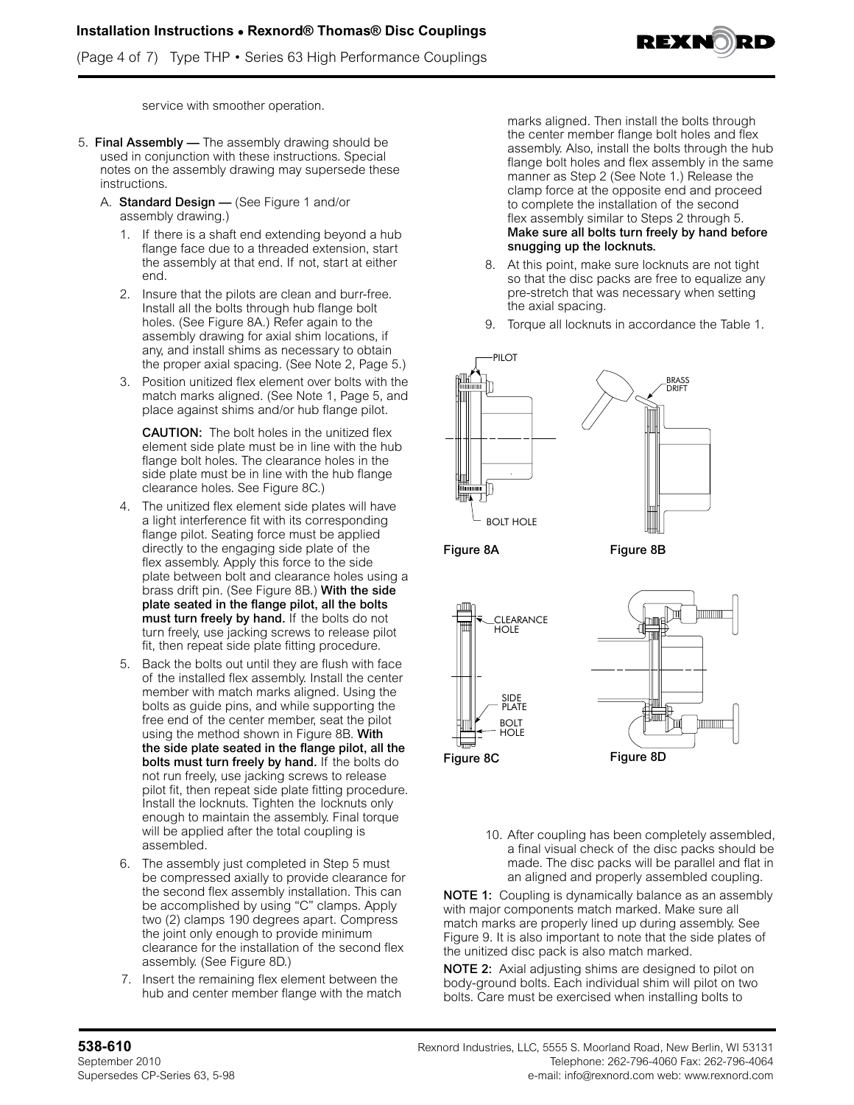(Page 4 of 7) Type THP • Series 63 High Performance Couplings



service with smoother operation.

- 5. Final Assembly The assembly drawing should be used in conjunction with these instructions. Special notes on the assembly drawing may supersede these instructions.
	- A. Standard Design (See Figure 1 and/or assembly drawing.)
		- 1. If there is a shaft end extending beyond a hub flange face due to a threaded extension, start the assembly at that end. If not, start at either end.
		- 2. Insure that the pilots are clean and burr-free. Install all the bolts through hub flange bolt holes. (See Figure 8A.) Refer again to the assembly drawing for axial shim locations, if any, and install shims as necessary to obtain the proper axial spacing. (See Note 2, Page 5.)
		- 3. Position unitized flex element over bolts with the match marks aligned. (See Note 1, Page 5, and place against shims and/or hub flange pilot.

**CAUTION:** The bolt holes in the unitized flex element side plate must be in line with the hub flange bolt holes. The clearance holes in the side plate must be in line with the hub flange clearance holes. See Figure 8C.)

- 4. The unitized flex element side plates will have a light interference fit with its corresponding flange pilot. Seating force must be applied directly to the engaging side plate of the flex assembly. Apply this force to the side plate between bolt and clearance holes using a brass drift pin. (See Figure 8B.) With the side plate seated in the flange pilot, all the bolts must turn freely by hand. If the bolts do not turn freely, use jacking screws to release pilot fit, then repeat side plate fitting procedure.
- 5. Back the bolts out until they are flush with face of the installed flex assembly. Install the center member with match marks aligned. Using the bolts as guide pins, and while supporting the free end of the center member, seat the pilot using the method shown in Figure 8B. With the side plate seated in the flange pilot, all the bolts must turn freely by hand. If the bolts do not run freely, use jacking screws to release pilot fit, then repeat side plate fitting procedure. Install the locknuts. Tighten the locknuts only enough to maintain the assembly. Final torque will be applied after the total coupling is assembled.
- 6. The assembly just completed in Step 5 must be compressed axially to provide clearance for the second flex assembly installation. This can be accomplished by using "C" clamps. Apply two (2) clamps 190 degrees apart. Compress the joint only enough to provide minimum clearance for the installation of the second flex assembly. (See Figure 8D.)
- 7. Insert the remaining flex element between the hub and center member flange with the match

marks aligned. Then install the bolts through the center member flange bolt holes and flex assembly. Also, install the bolts through the hub flange bolt holes and flex assembly in the same manner as Step 2 (See Note 1.) Release the clamp force at the opposite end and proceed to complete the installation of the second flex assembly similar to Steps 2 through 5. Make sure all bolts turn freely by hand before snugging up the locknuts.

- 8. At this point, make sure locknuts are not tight so that the disc packs are free to equalize any pre-stretch that was necessary when setting the axial spacing.
- 9. Torque all locknuts in accordance the Table 1.



Figure 8A Figure 8B



10. After coupling has been completely assembled, a final visual check of the disc packs should be made. The disc packs will be parallel and flat in an aligned and properly assembled coupling.

NOTE 1: Coupling is dynamically balance as an assembly with major components match marked. Make sure all match marks are properly lined up during assembly. See Figure 9. It is also important to note that the side plates of the unitized disc pack is also match marked.

NOTE 2: Axial adjusting shims are designed to pilot on body-ground bolts. Each individual shim will pilot on two bolts. Care must be exercised when installing bolts to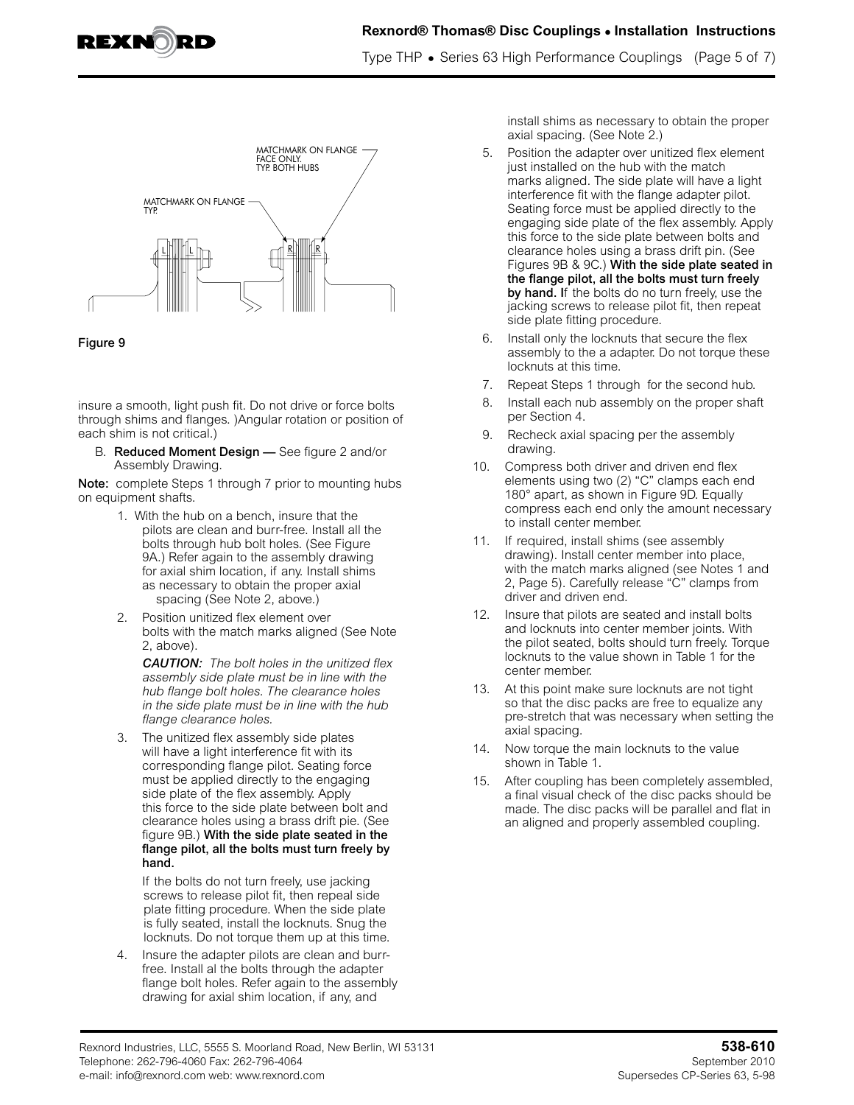

Type THP **•** Series 63 High Performance Couplings (Page 5 of 7)



#### Figure 9

insure a smooth, light push fit. Do not drive or force bolts through shims and flanges. )Angular rotation or position of each shim is not critical.)

B. Reduced Moment Design — See figure 2 and/or Assembly Drawing.

Note: complete Steps 1 through 7 prior to mounting hubs on equipment shafts.

- 1. With the hub on a bench, insure that the pilots are clean and burr-free. Install all the bolts through hub bolt holes. (See Figure 9A.) Refer again to the assembly drawing for axial shim location, if any. Install shims as necessary to obtain the proper axial spacing (See Note 2, above.)
- 2. Position unitized flex element over bolts with the match marks aligned (See Note 2, above).

*CAUTION: The bolt holes in the unitized flex assembly side plate must be in line with the hub flange bolt holes. The clearance holes in the side plate must be in line with the hub flange clearance holes.*

3. The unitized flex assembly side plates will have a light interference fit with its corresponding flange pilot. Seating force must be applied directly to the engaging side plate of the flex assembly. Apply this force to the side plate between bolt and clearance holes using a brass drift pie. (See figure 9B.) With the side plate seated in the flange pilot, all the bolts must turn freely by hand.

If the bolts do not turn freely, use jacking screws to release pilot fit, then repeal side plate fitting procedure. When the side plate is fully seated, install the locknuts. Snug the locknuts. Do not torque them up at this time.

4. Insure the adapter pilots are clean and burrfree. Install al the bolts through the adapter flange bolt holes. Refer again to the assembly drawing for axial shim location, if any, and

install shims as necessary to obtain the proper axial spacing. (See Note 2.)

- 5. Position the adapter over unitized flex element just installed on the hub with the match marks aligned. The side plate will have a light interference fit with the flange adapter pilot. Seating force must be applied directly to the engaging side plate of the flex assembly. Apply this force to the side plate between bolts and clearance holes using a brass drift pin. (See Figures 9B & 9C.) With the side plate seated in the flange pilot, all the bolts must turn freely by hand. If the bolts do no turn freely, use the jacking screws to release pilot fit, then repeat side plate fitting procedure.
- 6. Install only the locknuts that secure the flex assembly to the a adapter. Do not torque these locknuts at this time.
- 7. Repeat Steps 1 through for the second hub.
- 8. Install each nub assembly on the proper shaft per Section 4.
- 9. Recheck axial spacing per the assembly drawing.
- 10. Compress both driver and driven end flex elements using two (2) "C" clamps each end 180° apart, as shown in Figure 9D. Equally compress each end only the amount necessary to install center member.
- 11. If required, install shims (see assembly drawing). Install center member into place, with the match marks aligned (see Notes 1 and 2, Page 5). Carefully release "C" clamps from driver and driven end.
- 12. Insure that pilots are seated and install bolts and locknuts into center member joints. With the pilot seated, bolts should turn freely. Torque locknuts to the value shown in Table 1 for the center member.
- 13. At this point make sure locknuts are not tight so that the disc packs are free to equalize any pre-stretch that was necessary when setting the axial spacing.
- 14. Now torque the main locknuts to the value shown in Table 1.
- 15. After coupling has been completely assembled, a final visual check of the disc packs should be made. The disc packs will be parallel and flat in an aligned and properly assembled coupling.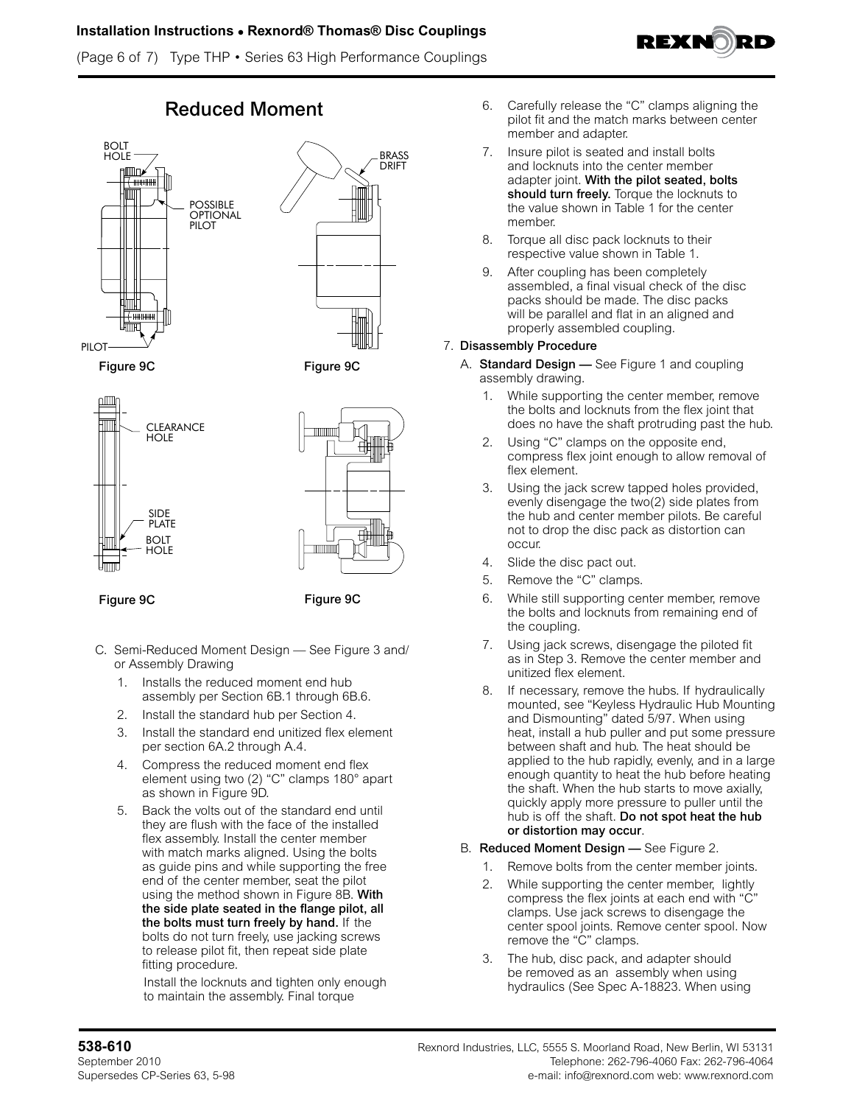(Page 6 of 7) Type THP • Series 63 High Performance Couplings







Figure 9C Figure 9C





Figure 9C Figure 9C

- C. Semi-Reduced Moment Design See Figure 3 and/ or Assembly Drawing
	- 1. Installs the reduced moment end hub assembly per Section 6B.1 through 6B.6.
	- 2. Install the standard hub per Section 4.
	- 3. Install the standard end unitized flex element per section 6A.2 through A.4.
	- 4. Compress the reduced moment end flex element using two (2) "C" clamps 180° apart as shown in Figure 9D.
	- 5. Back the volts out of the standard end until they are flush with the face of the installed flex assembly. Install the center member with match marks aligned. Using the bolts as guide pins and while supporting the free end of the center member, seat the pilot using the method shown in Figure 8B. With the side plate seated in the flange pilot, all the bolts must turn freely by hand. If the bolts do not turn freely, use jacking screws to release pilot fit, then repeat side plate fitting procedure.

 Install the locknuts and tighten only enough to maintain the assembly. Final torque

- Reduced Moment 6. Carefully release the "C" clamps aligning the pilot fit and the match marks between center member and adapter.
	- 7. Insure pilot is seated and install bolts and locknuts into the center member adapter joint. With the pilot seated, bolts should turn freely. Torque the locknuts to the value shown in Table 1 for the center member.
	- 8. Torque all disc pack locknuts to their respective value shown in Table 1.
	- 9. After coupling has been completely assembled, a final visual check of the disc packs should be made. The disc packs will be parallel and flat in an aligned and properly assembled coupling.

# 7. Disassembly Procedure

- A. Standard Design See Figure 1 and coupling assembly drawing.
	- 1. While supporting the center member, remove the bolts and locknuts from the flex joint that does no have the shaft protruding past the hub.
	- 2. Using "C" clamps on the opposite end, compress flex joint enough to allow removal of flex element.
	- 3. Using the jack screw tapped holes provided, evenly disengage the two(2) side plates from the hub and center member pilots. Be careful not to drop the disc pack as distortion can occur.
	- 4. Slide the disc pact out.
	- 5. Remove the "C" clamps.
	- 6. While still supporting center member, remove the bolts and locknuts from remaining end of the coupling.
	- 7. Using jack screws, disengage the piloted fit as in Step 3. Remove the center member and unitized flex element.
	- 8. If necessary, remove the hubs. If hydraulically mounted, see "Keyless Hydraulic Hub Mounting and Dismounting" dated 5/97. When using heat, install a hub puller and put some pressure between shaft and hub. The heat should be applied to the hub rapidly, evenly, and in a large enough quantity to heat the hub before heating the shaft. When the hub starts to move axially, quickly apply more pressure to puller until the hub is off the shaft. Do not spot heat the hub or distortion may occur.

# B. Reduced Moment Design — See Figure 2.

- 1. Remove bolts from the center member joints.
- 2. While supporting the center member, lightly compress the flex joints at each end with "C" clamps. Use jack screws to disengage the center spool joints. Remove center spool. Now remove the "C" clamps.
- 3. The hub, disc pack, and adapter should be removed as an assembly when using hydraulics (See Spec A-18823. When using